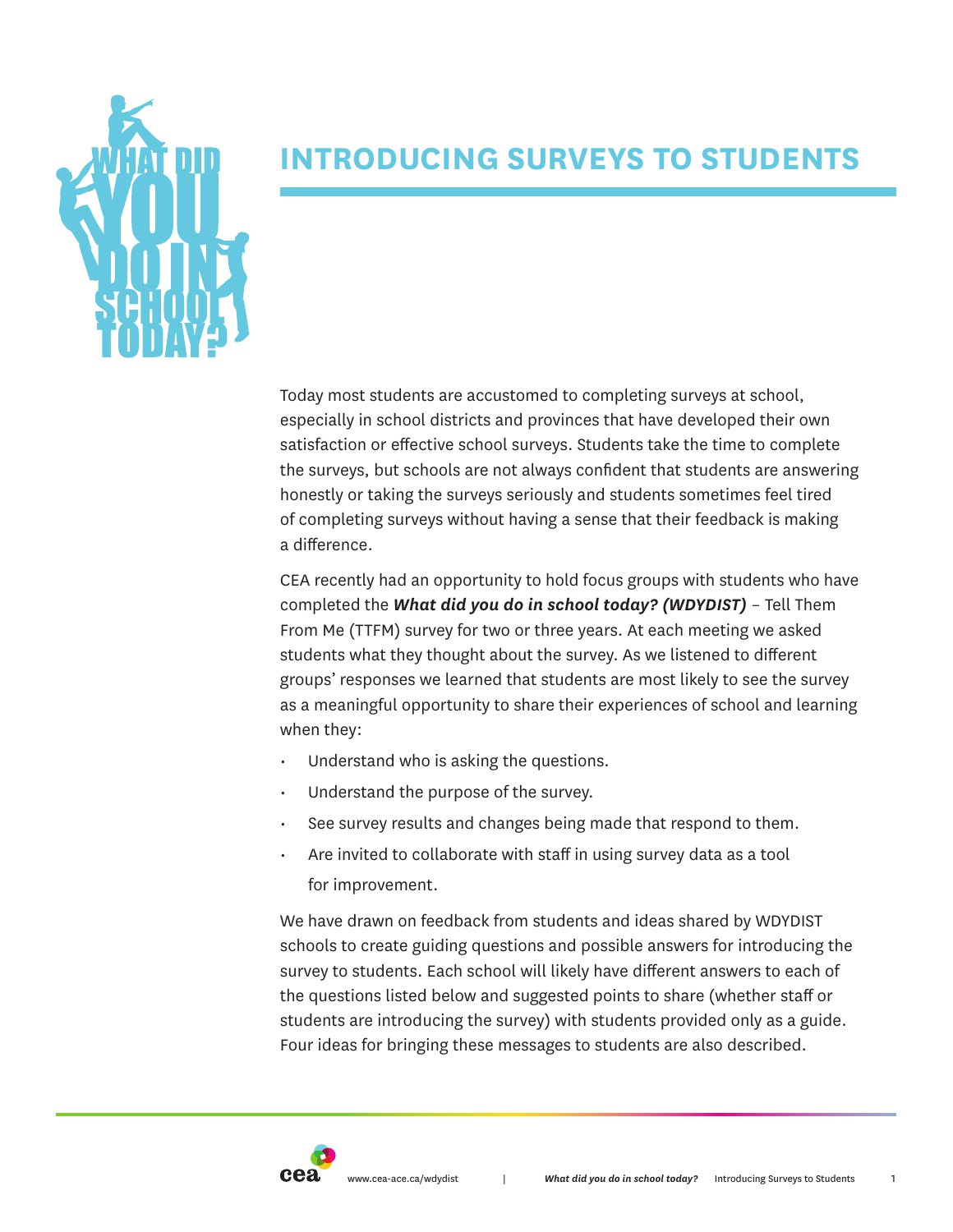

# **INTRODUCING SURVEYS TO STUDENTS**

Today most students are accustomed to completing surveys at school, especially in school districts and provinces that have developed their own satisfaction or effective school surveys. Students take the time to complete the surveys, but schools are not always confident that students are answering honestly or taking the surveys seriously and students sometimes feel tired of completing surveys without having a sense that their feedback is making a difference.

CEA recently had an opportunity to hold focus groups with students who have completed the *What did you do in school today? (WDYDIST)* – Tell Them From Me (TTFM) survey for two or three years. At each meeting we asked students what they thought about the survey. As we listened to different groups' responses we learned that students are most likely to see the survey as a meaningful opportunity to share their experiences of school and learning when they:

- Understand who is asking the questions.
- Understand the purpose of the survey.
- See survey results and changes being made that respond to them.
- Are invited to collaborate with staff in using survey data as a tool for improvement.

We have drawn on feedback from students and ideas shared by WDYDIST schools to create guiding questions and possible answers for introducing the survey to students. Each school will likely have different answers to each of the questions listed below and suggested points to share (whether staff or students are introducing the survey) with students provided only as a guide. Four ideas for bringing these messages to students are also described.

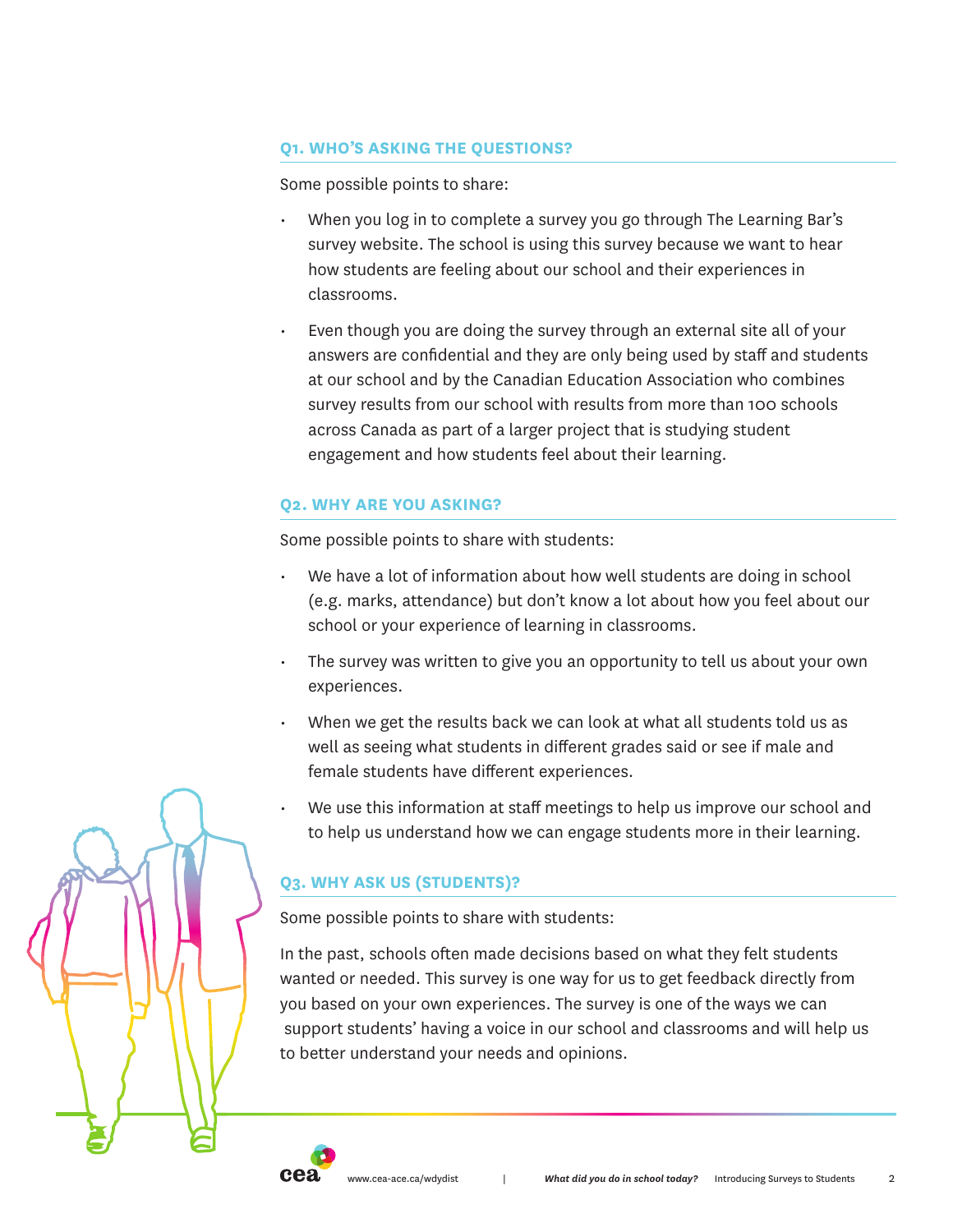## **Q1. WHO'S ASKING THE QUESTIONS?**

Some possible points to share:

- When you log in to complete a survey you go through The Learning Bar's survey website. The school is using this survey because we want to hear how students are feeling about our school and their experiences in classrooms.
- Even though you are doing the survey through an external site all of your answers are confidential and they are only being used by staff and students at our school and by the Canadian Education Association who combines survey results from our school with results from more than 100 schools across Canada as part of a larger project that is studying student engagement and how students feel about their learning.

# **Q2. WHY ARE YOU ASKING?**

Some possible points to share with students:

- We have a lot of information about how well students are doing in school (e.g. marks, attendance) but don't know a lot about how you feel about our school or your experience of learning in classrooms.
- The survey was written to give you an opportunity to tell us about your own experiences.
- When we get the results back we can look at what all students told us as well as seeing what students in different grades said or see if male and female students have different experiences.
- We use this information at staff meetings to help us improve our school and to help us understand how we can engage students more in their learning.

# **Q3. WHY ASK US (STUDENTS)?**

Some possible points to share with students:

In the past, schools often made decisions based on what they felt students wanted or needed. This survey is one way for us to get feedback directly from you based on your own experiences. The survey is one of the ways we can support students' having a voice in our school and classrooms and will help us to better understand your needs and opinions.



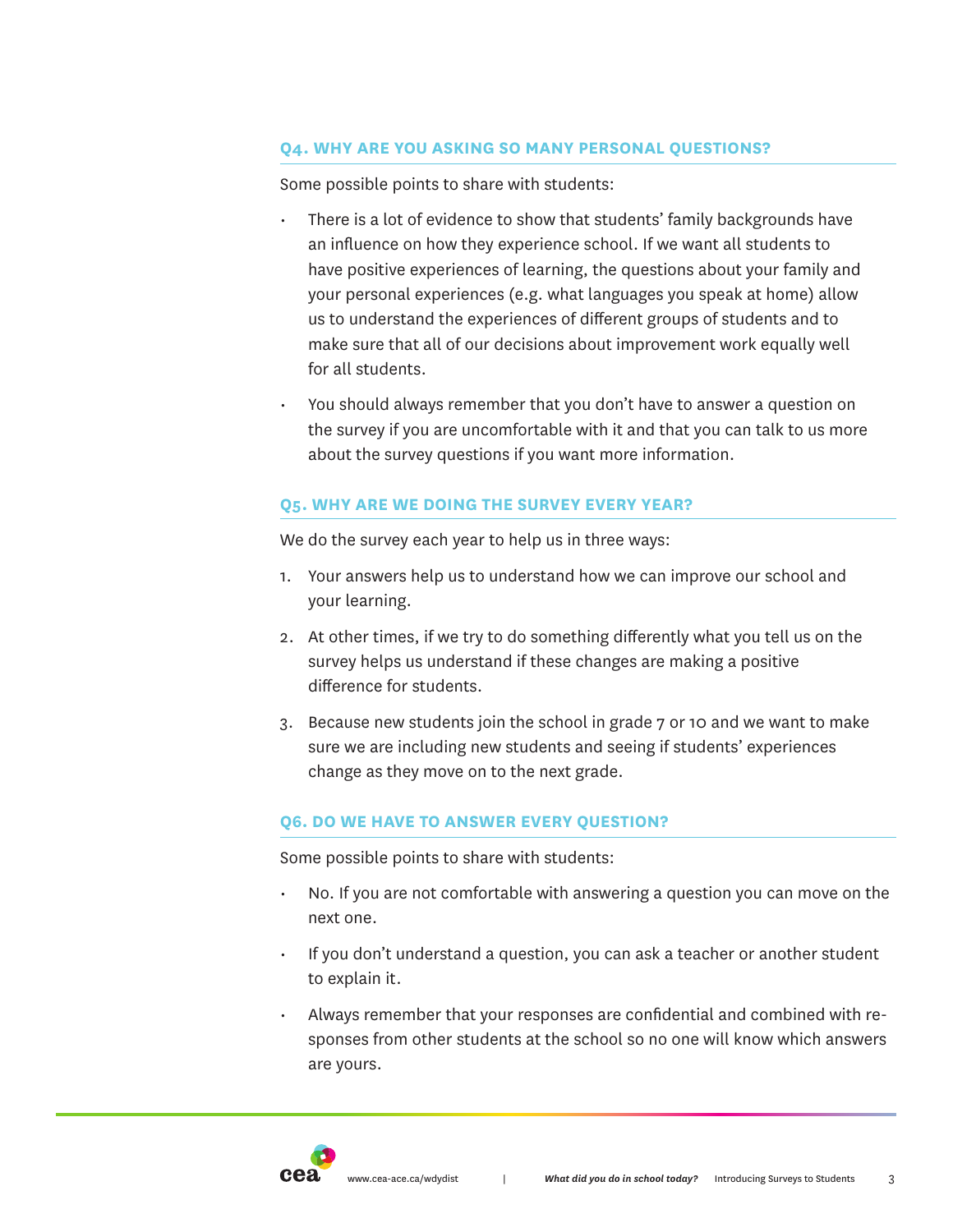### **Q4. WHY ARE YOU ASKING SO MANY PERSONAL QUESTIONS?**

Some possible points to share with students:

- There is a lot of evidence to show that students' family backgrounds have an influence on how they experience school. If we want all students to have positive experiences of learning, the questions about your family and your personal experiences (e.g. what languages you speak at home) allow us to understand the experiences of different groups of students and to make sure that all of our decisions about improvement work equally well for all students.
- You should always remember that you don't have to answer a question on the survey if you are uncomfortable with it and that you can talk to us more about the survey questions if you want more information.

## **Q5. WHY ARE WE DOING THE SURVEY EVERY YEAR?**

We do the survey each year to help us in three ways:

- 1. Your answers help us to understand how we can improve our school and your learning.
- 2. At other times, if we try to do something differently what you tell us on the survey helps us understand if these changes are making a positive difference for students.
- 3. Because new students join the school in grade 7 or 10 and we want to make sure we are including new students and seeing if students' experiences change as they move on to the next grade.

#### **Q6. DO WE HAVE TO ANSWER EVERY QUESTION?**

Some possible points to share with students:

- No. If you are not comfortable with answering a question you can move on the next one.
- If you don't understand a question, you can ask a teacher or another student to explain it.
- Always remember that your responses are confidential and combined with responses from other students at the school so no one will know which answers are yours.